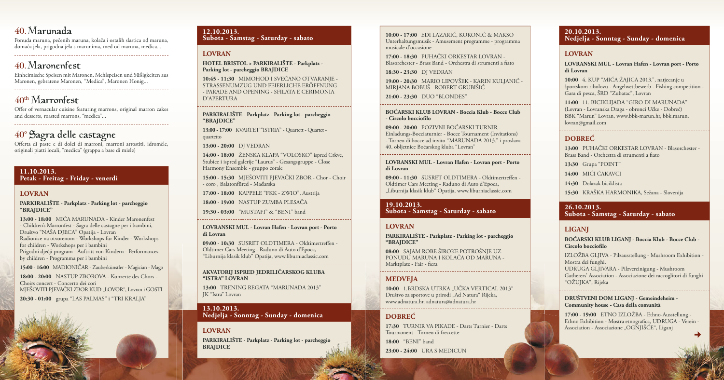#### **11.10.2013. Petak - Freitag - Friday - venerdì**

#### **LOVRAN**

**PARKIRALIŠTE - Parkplatz - Parking lot - parcheggio "BRAJDICE"**

**18:00 - 20:00** NASTUP ZBOROVA - Konzerte des Chors - Choirs concert - Concerto dei cori MJEŠOVITI PJEVAČKI ZBOR KUD "LOVOR", Lovran i GOSTI

**13:00 - 18:00** MIĆA MARUNADA - Kinder Maronenfest - Children's Marronfest - Sagra delle castagne per i bambini, Društvo "NAŠA DJECA" Opatija - Lovran Radionice na otvorenom - Workshops für Kinder - Workshops for children - Workshops per i bambini Prigodni dječji program - Auftritt von Kindern - Performances by children - Programma per i bambini

**15:00 - 16:00** MAĐIONIČAR - Zauberkünstler - Magician - Mago

**20:30 - 01:00** grupa "LAS PALMAS'' i "TRI KRALJA''

#### **12.10.2013. Subota - Samstag - Saturday - sabato**

#### **LOVRAN**

#### **HOTEL BRISTOL > PARKIRALIŠTE - Parkplatz - Parking lot - parcheggio BRAJDICE**

09:00 - 10:30 SUSRET OLDTIMERA - Oldtimertreffen -Oldtimer Cars Meeting - Raduno di Auto d'Epoca, "Liburnija klasik klub" Opatija, www.liburniaclassic.com

**10:45 - 11:30** MIMOHOD I SVEČANO OTVARANJE - STRASSENUMZUG UND FEIERLICHE ERÖFFNUNG - PARADE AND OPENING - SFILATA E CERIMONIA D'APERTURA

#### **PARKIRALIŠTE - Parkplatz - Parking lot - parcheggio "BRAJDICE"**

**17:00 - 18:30** PUHAČKI ORKESTAR LOVRAN - Blasorchester - Brass Band - Orchestra di strumenti a fiato

**13:00 - 17:00** KVARTET "ISTRIA" - Quartett - Quartet quartetto

**13:00 - 20:00** DJ VEDRAN

**14:00 - 18:00** ŽENSKA KLAPA "VOLOSKO" ispred Crkve, Stubice i ispred galerije "Laurus" - Gesangsgruppe - Close Harmony Ensemble - gruppo corale

**15:00 - 15:30** MJEŠOVITI PJEVAČKI ZBOR - Chor - Choir - coro , Balatonfüred - Mađarska

09:00 - 11:30 SUSRET OLDTIMERA - Oldtimertreffen -Oldtimer Cars Meeting - Raduno di Auto d'Epoca, "Liburnija klasik klub" Opatija, www.liburniaclassic.com

**17:00 - 18:00** KAPPELE "FKK - ZWIO", Austrija

**18:00 - 19:00** NASTUP ZUMBA PLESAČA

**08:00** SAJAM ROBE ŠIROKE POTROŠNJE UZ PONUDU MARUNA I KOLAČA OD MARUNA - Marktplatz - Fair - fiera

**19:30 - 03:00** "MUSTAFI" & "BENI" band

**LOVRANSKI MUL - Lovran Hafen - Lovran port - Porto di Lovran**

10:00 1.BRDSKA UTRKA "UČKA VERTICAL 2013" Društvo za sportove u prirodi "Ad Natura" Rijeka, www.adnatura.hr, adnatura@adnatura.hr

#### **AKVATORIJ ISPRED JEDRILIČARSKOG KLUBA "ISTRA" LOVRAN**

**13:00** TRENING REGATA "MARUNADA 2013" JK "Istra" Lovran

**13.10.2013. Nedjelja - Sonntag - Sunday - domenica** **13:00** PUHAČKI ORKESTAR LOVRAN - Blasorchester - Brass Band - Orchestra di strumenti a fiato

#### **LOVRAN**

**PARKIRALIŠTE - Parkplatz - Parking lot - parcheggio BRAJDICE**

**BOĆARSKI KLUB LIGANJ - Boccia Klub - Bocce Club -**  Circolo bocciofilo

**10:00 - 17:00** EDI LAZARIĆ, KOKONIĆ & MAKSO Unterhaltungsmusik - Amusement programme - programma musicale d'occasione

> **17:00 - 19:00** ETNO IZLOŽBA - Ethno-Ausstellung - Ethno Exhibition - Mostra etnografica, UDRUGA - Verein -Association - Associazione "OGNJIŠĆE", Liganj

**18:30 - 23:30** DJ VEDRAN

**19:00 - 20:30** MARIO LIPOVŠEK - KARIN KULJANIĆ - MIRJANA BOBUŠ - ROBERT GRUBIŠIĆ

**21:00 - 23:30** DUO "BLONDES"

#### **BOĆARSKI KLUB LOVRAN - Boccia Klub - Bocce Club - Circolo bocciofi lo**

Offer of vernacular cuisine featuring marrons, original marron cakes and desserts, roasted marrons, "medica"... 

## 40° Sagra delle castagne

**09:00 - 20:00** POZIVNI BOĆARSKI TURNIR - Einladungs-Bocciaturnier - Bocce Tournament (Invitations) - Torneo di bocce ad invito "MARUNADA 2013." i proslava 40. obljetnice Boćarskog kluba "Lovran"

Offerta di paste e di dolci di marroni, marroni arrostiti, idromèle, originali piatti locali, "medica" (grappa a base di miele)

#### **LOVRANSKI MUL - Lovran Hafen - Lovran port - Porto di Lovran**

#### **19.10.2013. Subota - Samstag - Saturday - sabato**

#### **LOVRAN**

**PARKIRALIŠTE - Parkplatz - Parking lot - parcheggio "BRAJDICE"**

#### **MEDVEJA**

### **DOBREĆ**

**17:30** TURNIR VA PIKADE - Darts Turnier - Darts Tournament - Torneo di freccette

**18:00** "BENI" band

**23:00 - 24:00** URA S MEDICUN

## 

#### **20.10.2013. Nedjelja - Sonntag - Sunday - domenica**

#### **LOVRAN**

#### **LOVRANSKI MUL - Lovran Hafen - Lovran port - Porto di Lovran**

**10:00** 4. KUP "MIĆA ŽAJICA 2013.", natjecanje u športskom ribolovu - Angelwettbewerb - Fishing competition - Gara di pesca, ŠRD "Zubatac", Lovran

**11:00** 11. BICIKLIJADA "GIRO DI MARUNADA" (Lovran - Lovranska Draga - obronci Učke - Dobreć) BBK "Marun" Lovran, www.bbk-marun.hr, bbk.marun. lovran@gmail.com

#### **DOBREĆ**

- **13:30** Grupa "POINT"
- **14:00** MIĆI ČAKAVCI
- **14:30** Dolazak biciklista
- **15:30** KRAŠKA HARMONIKA, Sežana Slovenija

#### **26.10.2013. Subota - Samstag - Saturday - sabato**

#### **LIGANJ**

IZLOŽBA GLJIVA - Pilzausstellung - Mushroom Exhibition - Mostra dei funghi, UDRUGA GLJIVARA - Pilzvereinigung - Mushroom Gatherers' Association - Associazione dei raccoglitori di funghi "OŽUJKA", Rijeka

**DRUŠTVENI DOM LIGANJ - Gemeindeheim - Community house - Casa della comunità**

## 40 Marunada

Ponuda maruna, pečenih maruna, kolača i ostalih slastica od maruna, domaća jela, prigodna jela s marunima, med od maruna, medica... 

## 40. Maronenfest

Einheimische Speisen mit Maronen, Mehlspeisen und Süßigkeiten aus Maronen, gebratene Maronen, "Medica", Maronen Honig... 

## 40<sup>th</sup> Marronfest